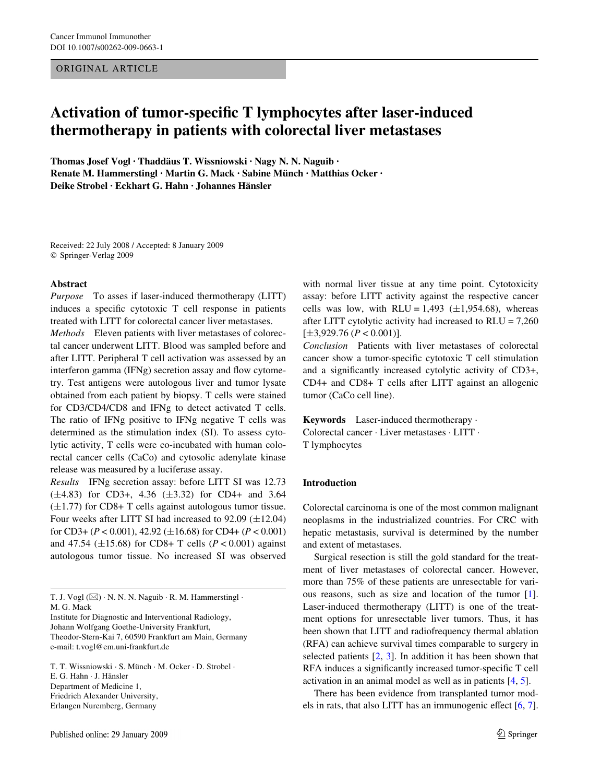ORIGINAL ARTICLE

# Activation of tumor-specific T lymphocytes after laser-induced **thermotherapy in patients with colorectal liver metastases**

**Thomas Josef Vogl · Thaddäus T. Wissniowski · Nagy N. N. Naguib · Renate M. Hammerstingl · Martin G. Mack · Sabine Münch · Matthias Ocker · Deike Strobel · Eckhart G. Hahn · Johannes Hänsler** 

Received: 22 July 2008 / Accepted: 8 January 2009 © Springer-Verlag 2009

#### **Abstract**

*Purpose* To asses if laser-induced thermotherapy (LITT) induces a specific cytotoxic T cell response in patients treated with LITT for colorectal cancer liver metastases.

*Methods* Eleven patients with liver metastases of colorectal cancer underwent LITT. Blood was sampled before and after LITT. Peripheral T cell activation was assessed by an interferon gamma (IFNg) secretion assay and flow cytometry. Test antigens were autologous liver and tumor lysate obtained from each patient by biopsy. T cells were stained for CD3/CD4/CD8 and IFNg to detect activated T cells. The ratio of IFNg positive to IFNg negative T cells was determined as the stimulation index (SI). To assess cytolytic activity, T cells were co-incubated with human colorectal cancer cells (CaCo) and cytosolic adenylate kinase release was measured by a luciferase assay.

*Results* IFNg secretion assay: before LITT SI was 12.73  $(\pm 4.83)$  for CD3+, 4.36  $(\pm 3.32)$  for CD4+ and 3.64  $(\pm 1.77)$  for CD8+ T cells against autologous tumor tissue. Four weeks after LITT SI had increased to  $92.09 \ (\pm 12.04)$ for CD3+ ( $P < 0.001$ ), 42.92 ( $\pm 16.68$ ) for CD4+ ( $P < 0.001$ ) and 47.54 ( $\pm$ 15.68) for CD8+ T cells (*P* < 0.001) against autologous tumor tissue. No increased SI was observed

T. J. Vogl  $(\boxtimes) \cdot N$ . N. N. Naguib  $\cdot R$ . M. Hammerstingl  $\cdot$ M. G. Mack

Institute for Diagnostic and Interventional Radiology, Johann Wolfgang Goethe-University Frankfurt, Theodor-Stern-Kai 7, 60590 Frankfurt am Main, Germany e-mail: t.vogl@em.uni-frankfurt.de

T. T. Wissniowski · S. Münch · M. Ocker · D. Strobel · E. G. Hahn · J. Hänsler Department of Medicine 1, Friedrich Alexander University, Erlangen Nuremberg, Germany

with normal liver tissue at any time point. Cytotoxicity assay: before LITT activity against the respective cancer cells was low, with RLU = 1,493  $(\pm 1,954.68)$ , whereas after LITT cytolytic activity had increased to RLU = 7,260  $[\pm 3,929.76 \, (P < 0.001)]$ .

*Conclusion* Patients with liver metastases of colorectal cancer show a tumor-specific cytotoxic T cell stimulation and a significantly increased cytolytic activity of CD3+, CD4+ and CD8+ T cells after LITT against an allogenic tumor (CaCo cell line).

**Keywords** Laser-induced thermotherapy · Colorectal cancer · Liver metastases · LITT · T lymphocytes

# **Introduction**

Colorectal carcinoma is one of the most common malignant neoplasms in the industrialized countries. For CRC with hepatic metastasis, survival is determined by the number and extent of metastases.

Surgical resection is still the gold standard for the treatment of liver metastases of colorectal cancer. However, more than 75% of these patients are unresectable for various reasons, such as size and location of the tumor [\[1](#page-5-0)]. Laser-induced thermotherapy (LITT) is one of the treatment options for unresectable liver tumors. Thus, it has been shown that LITT and radiofrequency thermal ablation (RFA) can achieve survival times comparable to surgery in selected patients  $[2, 3]$  $[2, 3]$  $[2, 3]$  $[2, 3]$ . In addition it has been shown that RFA induces a significantly increased tumor-specific T cell activation in an animal model as well as in patients [\[4](#page-5-3), [5\]](#page-5-4).

There has been evidence from transplanted tumor models in rats, that also LITT has an immunogenic effect  $[6, 7]$  $[6, 7]$  $[6, 7]$  $[6, 7]$ .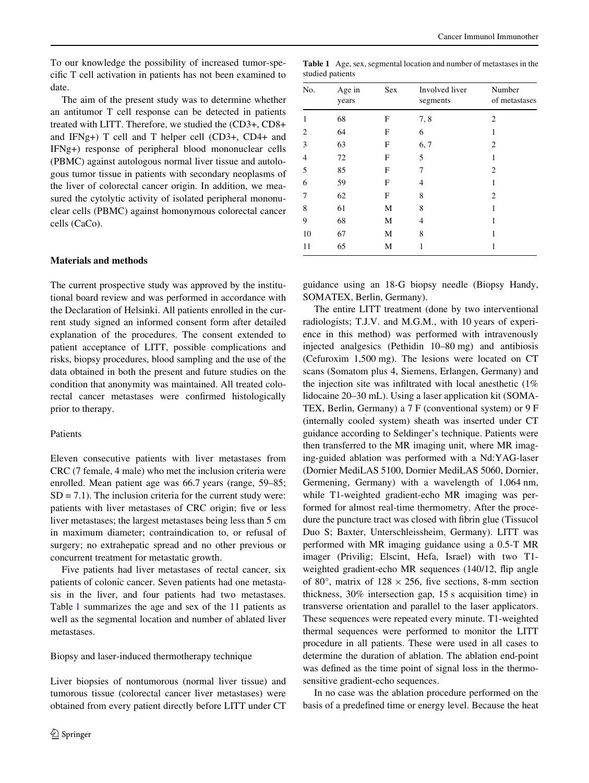To our knowledge the possibility of increased tumor-specific T cell activation in patients has not been examined to date.

The aim of the present study was to determine whether an antitumor T cell response can be detected in patients treated with LITT. Therefore, we studied the (CD3+, CD8+ and IFNg+) T cell and T helper cell (CD3+, CD4+ and IFNg+) response of peripheral blood mononuclear cells (PBMC) against autologous normal liver tissue and autologous tumor tissue in patients with secondary neoplasms of the liver of colorectal cancer origin. In addition, we measured the cytolytic activity of isolated peripheral mononuclear cells (PBMC) against homonymous colorectal cancer cells (CaCo).

#### **Materials and methods**

The current prospective study was approved by the institutional board review and was performed in accordance with the Declaration of Helsinki. All patients enrolled in the current study signed an informed consent form after detailed explanation of the procedures. The consent extended to patient acceptance of LITT, possible complications and risks, biopsy procedures, blood sampling and the use of the data obtained in both the present and future studies on the condition that anonymity was maintained. All treated colorectal cancer metastases were confirmed histologically prior to therapy.

#### Patients

Eleven consecutive patients with liver metastases from CRC (7 female, 4 male) who met the inclusion criteria were enrolled. Mean patient age was 66.7 years (range, 59–85;  $SD = 7.1$ ). The inclusion criteria for the current study were: patients with liver metastases of CRC origin; five or less liver metastases; the largest metastases being less than 5 cm in maximum diameter; contraindication to, or refusal of surgery; no extrahepatic spread and no other previous or concurrent treatment for metastatic growth.

Five patients had liver metastases of rectal cancer, six patients of colonic cancer. Seven patients had one metastasis in the liver, and four patients had two metastases. Table [1](#page-1-0) summarizes the age and sex of the 11 patients as well as the segmental location and number of ablated liver metastases.

Biopsy and laser-induced thermotherapy technique

Liver biopsies of nontumorous (normal liver tissue) and tumorous tissue (colorectal cancer liver metastases) were obtained from every patient directly before LITT under CT

| studied patients |                 |     |                            |                         |  |
|------------------|-----------------|-----|----------------------------|-------------------------|--|
| No.              | Age in<br>years | Sex | Involved liver<br>segments | Number<br>of metastases |  |
| 1                | 68              | F   | 7, 8                       | 2                       |  |
| 2                | 64              | F   | 6                          |                         |  |
| 3                | 63              | F   | 6, 7                       | 2                       |  |
| 4                | 72              | F   | 5                          |                         |  |
| 5                | 85              | F   | 7                          | 2                       |  |
| 6                | 59              | F   | 4                          | 1                       |  |
| 7                | 62              | F   | 8                          | $\overline{2}$          |  |
| 8                | 61              | М   | 8                          | 1                       |  |
| 9                | 68              | М   | 4                          |                         |  |

<span id="page-1-0"></span>**Table 1** Age, sex, segmental location and number of metastases in the

guidance using an 18-G biopsy needle (Biopsy Handy, SOMATEX, Berlin, Germany).

10 67 M 8 1 11 65 M 1 1

The entire LITT treatment (done by two interventional radiologists; T.J.V. and M.G.M., with 10 years of experience in this method) was performed with intravenously injected analgesics (Pethidin 10–80 mg) and antibiosis (Cefuroxim 1,500 mg). The lesions were located on CT scans (Somatom plus 4, Siemens, Erlangen, Germany) and the injection site was infiltrated with local anesthetic  $(1\%$ lidocaine 20–30 mL). Using a laser application kit (SOMA-TEX, Berlin, Germany) a 7 F (conventional system) or 9 F (internally cooled system) sheath was inserted under CT guidance according to Seldinger's technique. Patients were then transferred to the MR imaging unit, where MR imaging-guided ablation was performed with a Nd:YAG-laser (Dornier MediLAS 5100, Dornier MediLAS 5060, Dornier, Germening, Germany) with a wavelength of 1,064 nm, while T1-weighted gradient-echo MR imaging was performed for almost real-time thermometry. After the procedure the puncture tract was closed with fibrin glue (Tissucol Duo S; Baxter, Unterschleissheim, Germany). LITT was performed with MR imaging guidance using a 0.5-T MR imager (Privilig; Elscint, Hefa, Israel) with two T1 weighted gradient-echo MR sequences  $(140/12,$  flip angle of 80 $^{\circ}$ , matrix of 128  $\times$  256, five sections, 8-mm section thickness, 30% intersection gap, 15 s acquisition time) in transverse orientation and parallel to the laser applicators. These sequences were repeated every minute. T1-weighted thermal sequences were performed to monitor the LITT procedure in all patients. These were used in all cases to determine the duration of ablation. The ablation end-point was defined as the time point of signal loss in the thermosensitive gradient-echo sequences.

In no case was the ablation procedure performed on the basis of a predefined time or energy level. Because the heat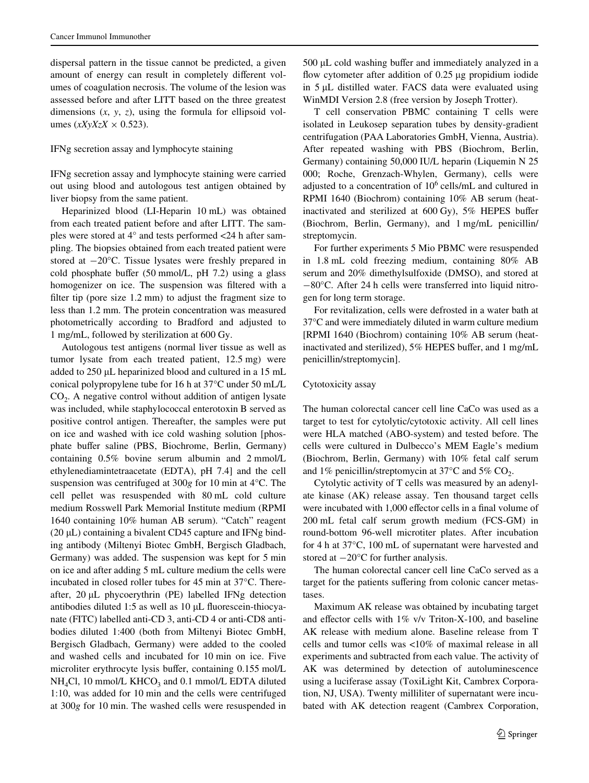dispersal pattern in the tissue cannot be predicted, a given amount of energy can result in completely different volumes of coagulation necrosis. The volume of the lesion was assessed before and after LITT based on the three greatest dimensions (*x*, *y*, *z*), using the formula for ellipsoid volumes  $(xXyXzX \times 0.523)$ .

### IFNg secretion assay and lymphocyte staining

IFNg secretion assay and lymphocyte staining were carried out using blood and autologous test antigen obtained by liver biopsy from the same patient.

Heparinized blood (LI-Heparin 10 mL) was obtained from each treated patient before and after LITT. The samples were stored at 4° and tests performed <24 h after sampling. The biopsies obtained from each treated patient were stored at  $-20^{\circ}$ C. Tissue lysates were freshly prepared in cold phosphate buffer  $(50 \text{ mmol/L}, \text{pH } 7.2)$  using a glass homogenizer on ice. The suspension was filtered with a filter tip (pore size  $1.2 \text{ mm}$ ) to adjust the fragment size to less than 1.2 mm. The protein concentration was measured photometrically according to Bradford and adjusted to 1 mg/mL, followed by sterilization at 600 Gy.

Autologous test antigens (normal liver tissue as well as tumor lysate from each treated patient, 12.5 mg) were added to 250 µL heparinized blood and cultured in a 15 mL conical polypropylene tube for 16 h at 37°C under 50 mL/L  $CO<sub>2</sub>$ . A negative control without addition of antigen lysate was included, while staphylococcal enterotoxin B served as positive control antigen. Thereafter, the samples were put on ice and washed with ice cold washing solution [phosphate buffer saline (PBS, Biochrome, Berlin, Germany) containing 0.5% bovine serum albumin and 2 mmol/L ethylenediamintetraacetate (EDTA), pH 7.4] and the cell suspension was centrifuged at 300*g* for 10 min at 4°C. The cell pellet was resuspended with 80 mL cold culture medium Rosswell Park Memorial Institute medium (RPMI 1640 containing 10% human AB serum). "Catch" reagent (20  $\mu$ L) containing a bivalent CD45 capture and IFNg binding antibody (Miltenyi Biotec GmbH, Bergisch Gladbach, Germany) was added. The suspension was kept for 5 min on ice and after adding 5 mL culture medium the cells were incubated in closed roller tubes for 45 min at 37°C. Thereafter,  $20 \mu L$  phycoerythrin (PE) labelled IFNg detection antibodies diluted 1:5 as well as  $10 \mu L$  fluorescein-thiocyanate (FITC) labelled anti-CD 3, anti-CD 4 or anti-CD8 antibodies diluted 1:400 (both from Miltenyi Biotec GmbH, Bergisch Gladbach, Germany) were added to the cooled and washed cells and incubated for 10 min on ice. Five microliter erythrocyte lysis buffer, containing 0.155 mol/L  $NH<sub>4</sub>Cl$ , 10 mmol/L KHCO<sub>3</sub> and 0.1 mmol/L EDTA diluted 1:10, was added for 10 min and the cells were centrifuged at 300*g* for 10 min. The washed cells were resuspended in  $500 \mu L$  cold washing buffer and immediately analyzed in a flow cytometer after addition of  $0.25 \mu$ g propidium iodide in 5 µL distilled water. FACS data were evaluated using WinMDI Version 2.8 (free version by Joseph Trotter).

T cell conservation PBMC containing T cells were isolated in Leukosep separation tubes by density-gradient centrifugation (PAA Laboratories GmbH, Vienna, Austria). After repeated washing with PBS (Biochrom, Berlin, Germany) containing 50,000 IU/L heparin (Liquemin N 25 000; Roche, Grenzach-Whylen, Germany), cells were adjusted to a concentration of  $10^6$  cells/mL and cultured in RPMI 1640 (Biochrom) containing 10% AB serum (heatinactivated and sterilized at  $600 \text{ Gy}$ ,  $5\%$  HEPES buffer (Biochrom, Berlin, Germany), and 1 mg/mL penicillin/ streptomycin.

For further experiments 5 Mio PBMC were resuspended in 1.8 mL cold freezing medium, containing 80% AB serum and 20% dimethylsulfoxide (DMSO), and stored at  $-80^{\circ}$ C. After 24 h cells were transferred into liquid nitrogen for long term storage.

For revitalization, cells were defrosted in a water bath at 37°C and were immediately diluted in warm culture medium [RPMI 1640 (Biochrom) containing 10% AB serum (heatinactivated and sterilized),  $5\%$  HEPES buffer, and 1 mg/mL penicillin/streptomycin].

# Cytotoxicity assay

The human colorectal cancer cell line CaCo was used as a target to test for cytolytic/cytotoxic activity. All cell lines were HLA matched (ABO-system) and tested before. The cells were cultured in Dulbecco's MEM Eagle's medium (Biochrom, Berlin, Germany) with 10% fetal calf serum and 1% penicillin/streptomycin at  $37^{\circ}$ C and  $5\%$  CO<sub>2</sub>.

Cytolytic activity of T cells was measured by an adenylate kinase (AK) release assay. Ten thousand target cells were incubated with 1,000 effector cells in a final volume of 200 mL fetal calf serum growth medium (FCS-GM) in round-bottom 96-well microtiter plates. After incubation for 4 h at 37°C, 100 mL of supernatant were harvested and stored at  $-20^{\circ}$ C for further analysis.

The human colorectal cancer cell line CaCo served as a target for the patients suffering from colonic cancer metastases.

Maximum AK release was obtained by incubating target and effector cells with  $1\%$  v/v Triton-X-100, and baseline AK release with medium alone. Baseline release from T cells and tumor cells was <10% of maximal release in all experiments and subtracted from each value. The activity of AK was determined by detection of autoluminescence using a luciferase assay (ToxiLight Kit, Cambrex Corporation, NJ, USA). Twenty milliliter of supernatant were incubated with AK detection reagent (Cambrex Corporation,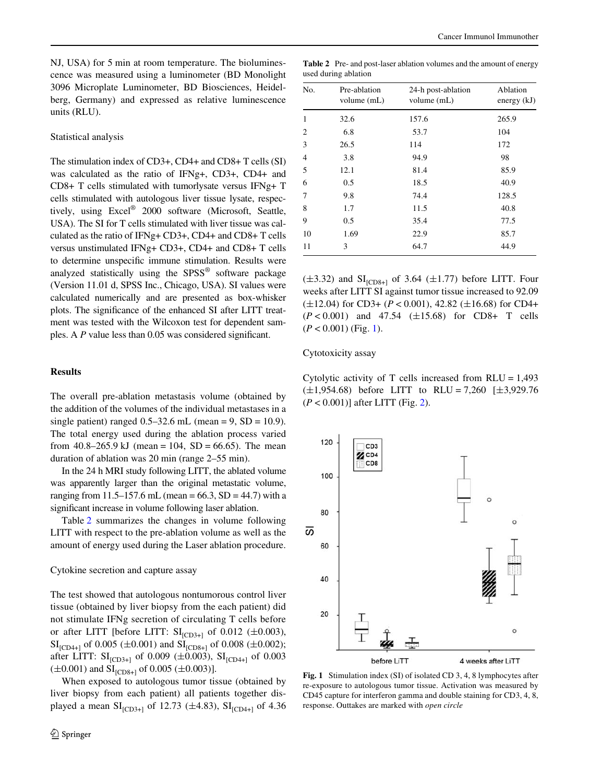NJ, USA) for 5 min at room temperature. The bioluminescence was measured using a luminometer (BD Monolight 3096 Microplate Luminometer, BD Biosciences, Heidelberg, Germany) and expressed as relative luminescence units (RLU).

#### Statistical analysis

The stimulation index of CD3+, CD4+ and CD8+ T cells (SI) was calculated as the ratio of IFNg+, CD3+, CD4+ and CD8+ T cells stimulated with tumorlysate versus IFNg+ T cells stimulated with autologous liver tissue lysate, respectively, using Excel® 2000 software (Microsoft, Seattle, USA). The SI for T cells stimulated with liver tissue was calculated as the ratio of IFNg+ CD3+, CD4+ and CD8+ T cells versus unstimulated IFNg+ CD3+, CD4+ and CD8+ T cells to determine unspecific immune stimulation. Results were analyzed statistically using the SPSS® software package (Version 11.01 d, SPSS Inc., Chicago, USA). SI values were calculated numerically and are presented as box-whisker plots. The significance of the enhanced SI after LITT treatment was tested with the Wilcoxon test for dependent samples. A  $P$  value less than 0.05 was considered significant.

# **Results**

The overall pre-ablation metastasis volume (obtained by the addition of the volumes of the individual metastases in a single patient) ranged  $0.5-32.6$  mL (mean = 9, SD = 10.9). The total energy used during the ablation process varied from  $40.8-265.9 \text{ kJ}$  (mean = 104, SD = 66.65). The mean duration of ablation was 20 min (range 2–55 min).

In the 24 h MRI study following LITT, the ablated volume was apparently larger than the original metastatic volume, ranging from 11.5–157.6 mL (mean =  $66.3$ , SD = 44.7) with a significant increase in volume following laser ablation.

Table [2](#page-3-0) summarizes the changes in volume following LITT with respect to the pre-ablation volume as well as the amount of energy used during the Laser ablation procedure.

Cytokine secretion and capture assay

The test showed that autologous nontumorous control liver tissue (obtained by liver biopsy from the each patient) did not stimulate IFNg secretion of circulating T cells before or after LITT [before LITT:  $SI_{[CD3+]}$  of 0.012 ( $\pm$ 0.003),  $SI_{[CD4+]}$  of 0.005 ( $\pm$ 0.001) and  $SI_{[CD8+]}$  of 0.008 ( $\pm$ 0.002); after LITT:  $SI_{[CD3+]}$  of 0.009 ( $\pm$ 0.003),  $SI_{[CD4+]}$  of 0.003  $(\pm 0.001)$  and  $SI<sub>[CD8+1</sub>$  of 0.005  $(\pm 0.003)$ ].

When exposed to autologous tumor tissue (obtained by liver biopsy from each patient) all patients together displayed a mean  $SI_{[CD3+]}$  of 12.73 ( $\pm$ 4.83),  $SI_{[CD4+]}$  of 4.36

<span id="page-3-0"></span>**Table 2** Pre- and post-laser ablation volumes and the amount of energy used during ablation

| No.            | Pre-ablation<br>volume (mL) | 24-h post-ablation<br>volume (mL) | Ablation<br>energy $(kJ)$ |
|----------------|-----------------------------|-----------------------------------|---------------------------|
| 1              | 32.6                        | 157.6                             | 265.9                     |
| $\overline{2}$ | 6.8                         | 53.7                              | 104                       |
| 3              | 26.5                        | 114                               | 172                       |
| $\overline{4}$ | 3.8                         | 94.9                              | 98                        |
| 5              | 12.1                        | 81.4                              | 85.9                      |
| 6              | 0.5                         | 18.5                              | 40.9                      |
| 7              | 9.8                         | 74.4                              | 128.5                     |
| 8              | 1.7                         | 11.5                              | 40.8                      |
| 9              | 0.5                         | 35.4                              | 77.5                      |
| 10             | 1.69                        | 22.9                              | 85.7                      |
| 11             | 3                           | 64.7                              | 44.9                      |

 $(\pm 3.32)$  and  $SI_{[CD8+]}$  of 3.64  $(\pm 1.77)$  before LITT. Four weeks after LITT SI against tumor tissue increased to 92.09  $(\pm 12.04)$  for CD3+ (*P* < 0.001), 42.82 ( $\pm 16.68$ ) for CD4+  $(P < 0.001)$  and 47.54 ( $\pm 15.68$ ) for CD8+ T cells  $(P < 0.001)$  $(P < 0.001)$  $(P < 0.001)$  (Fig. 1).

Cytotoxicity assay

Cytolytic activity of T cells increased from  $RLU = 1,493$  $(\pm 1.954.68)$  before LITT to RLU = 7.260 [ $\pm 3.929.76$ ] (*P* < 0.001)] after LITT (Fig. [2](#page-4-0)).



<span id="page-3-1"></span>**Fig. 1** Stimulation index (SI) of isolated CD 3, 4, 8 lymphocytes after re-exposure to autologous tumor tissue. Activation was measured by CD45 capture for interferon gamma and double staining for CD3, 4, 8, response. Outtakes are marked with *open circle*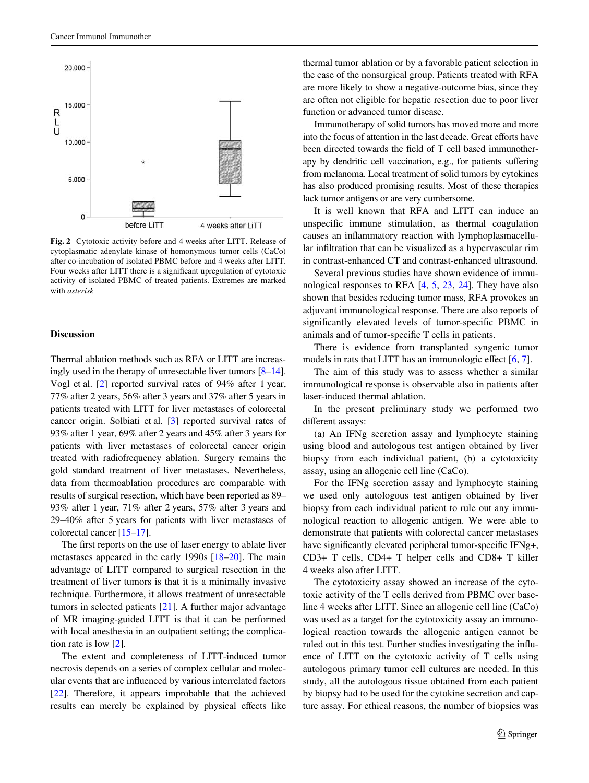

<span id="page-4-0"></span>**Fig. 2** Cytotoxic activity before and 4 weeks after LITT. Release of cytoplasmatic adenylate kinase of homonymous tumor cells (CaCo) after co-incubation of isolated PBMC before and 4 weeks after LITT. Four weeks after LITT there is a significant upregulation of cytotoxic activity of isolated PBMC of treated patients. Extremes are marked with *asterisk*

#### **Discussion**

Thermal ablation methods such as RFA or LITT are increasingly used in the therapy of unresectable liver tumors [[8–](#page-5-7)[14\]](#page-5-8). Vogl et al. [[2](#page-5-1)] reported survival rates of 94% after 1 year, 77% after 2 years, 56% after 3 years and 37% after 5 years in patients treated with LITT for liver metastases of colorectal cancer origin. Solbiati et al. [\[3](#page-5-2)] reported survival rates of 93% after 1 year, 69% after 2 years and 45% after 3 years for patients with liver metastases of colorectal cancer origin treated with radiofrequency ablation. Surgery remains the gold standard treatment of liver metastases. Nevertheless, data from thermoablation procedures are comparable with results of surgical resection, which have been reported as 89– 93% after 1 year, 71% after 2 years, 57% after 3 years and 29–40% after 5 years for patients with liver metastases of colorectal cancer [[15](#page-5-9)[–17](#page-5-10)].

The first reports on the use of laser energy to ablate liver metastases appeared in the early 1990s [\[18](#page-6-0)[–20](#page-6-1)]. The main advantage of LITT compared to surgical resection in the treatment of liver tumors is that it is a minimally invasive technique. Furthermore, it allows treatment of unresectable tumors in selected patients [\[21](#page-6-2)]. A further major advantage of MR imaging-guided LITT is that it can be performed with local anesthesia in an outpatient setting; the complication rate is low [[2\]](#page-5-1).

The extent and completeness of LITT-induced tumor necrosis depends on a series of complex cellular and molecular events that are influenced by various interrelated factors [\[22](#page-6-3)]. Therefore, it appears improbable that the achieved results can merely be explained by physical effects like thermal tumor ablation or by a favorable patient selection in the case of the nonsurgical group. Patients treated with RFA are more likely to show a negative-outcome bias, since they are often not eligible for hepatic resection due to poor liver function or advanced tumor disease.

Immunotherapy of solid tumors has moved more and more into the focus of attention in the last decade. Great efforts have been directed towards the field of T cell based immunotherapy by dendritic cell vaccination, e.g., for patients suffering from melanoma. Local treatment of solid tumors by cytokines has also produced promising results. Most of these therapies lack tumor antigens or are very cumbersome.

It is well known that RFA and LITT can induce an unspecific immune stimulation, as thermal coagulation causes an inflammatory reaction with lymphoplasmacellular infiltration that can be visualized as a hypervascular rim in contrast-enhanced CT and contrast-enhanced ultrasound.

Several previous studies have shown evidence of immunological responses to RFA [[4,](#page-5-3) [5,](#page-5-4) [23](#page-6-4), [24](#page-6-5)]. They have also shown that besides reducing tumor mass, RFA provokes an adjuvant immunological response. There are also reports of significantly elevated levels of tumor-specific PBMC in animals and of tumor-specific T cells in patients.

There is evidence from transplanted syngenic tumor models in rats that LITT has an immunologic effect  $[6, 7]$  $[6, 7]$  $[6, 7]$  $[6, 7]$ .

The aim of this study was to assess whether a similar immunological response is observable also in patients after laser-induced thermal ablation.

In the present preliminary study we performed two different assays:

(a) An IFNg secretion assay and lymphocyte staining using blood and autologous test antigen obtained by liver biopsy from each individual patient, (b) a cytotoxicity assay, using an allogenic cell line (CaCo).

For the IFNg secretion assay and lymphocyte staining we used only autologous test antigen obtained by liver biopsy from each individual patient to rule out any immunological reaction to allogenic antigen. We were able to demonstrate that patients with colorectal cancer metastases have significantly elevated peripheral tumor-specific IFNg+, CD3+ T cells, CD4+ T helper cells and CD8+ T killer 4 weeks also after LITT.

The cytotoxicity assay showed an increase of the cytotoxic activity of the T cells derived from PBMC over baseline 4 weeks after LITT. Since an allogenic cell line (CaCo) was used as a target for the cytotoxicity assay an immunological reaction towards the allogenic antigen cannot be ruled out in this test. Further studies investigating the influence of LITT on the cytotoxic activity of T cells using autologous primary tumor cell cultures are needed. In this study, all the autologous tissue obtained from each patient by biopsy had to be used for the cytokine secretion and capture assay. For ethical reasons, the number of biopsies was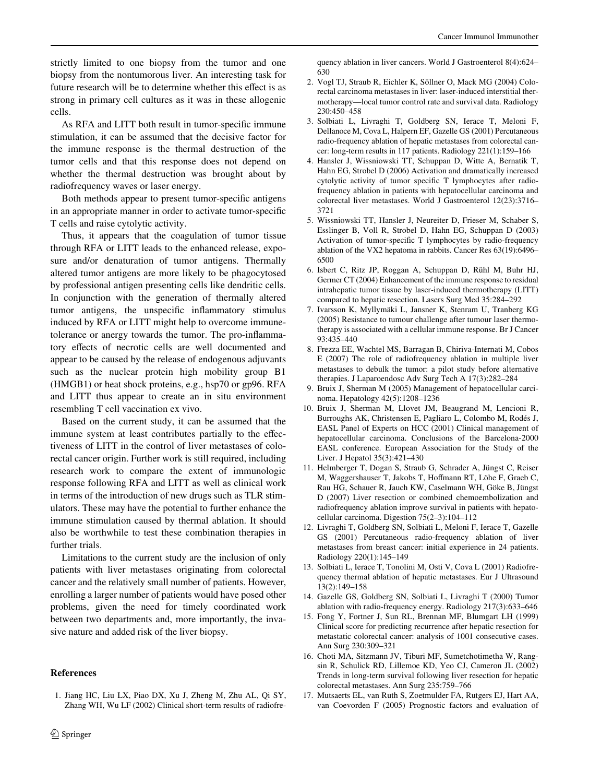strictly limited to one biopsy from the tumor and one biopsy from the nontumorous liver. An interesting task for future research will be to determine whether this effect is as strong in primary cell cultures as it was in these allogenic cells.

As RFA and LITT both result in tumor-specific immune stimulation, it can be assumed that the decisive factor for the immune response is the thermal destruction of the tumor cells and that this response does not depend on whether the thermal destruction was brought about by radiofrequency waves or laser energy.

Both methods appear to present tumor-specific antigens in an appropriate manner in order to activate tumor-specific T cells and raise cytolytic activity.

Thus, it appears that the coagulation of tumor tissue through RFA or LITT leads to the enhanced release, exposure and/or denaturation of tumor antigens. Thermally altered tumor antigens are more likely to be phagocytosed by professional antigen presenting cells like dendritic cells. In conjunction with the generation of thermally altered tumor antigens, the unspecific inflammatory stimulus induced by RFA or LITT might help to overcome immunetolerance or anergy towards the tumor. The pro-inflammatory effects of necrotic cells are well documented and appear to be caused by the release of endogenous adjuvants such as the nuclear protein high mobility group B1 (HMGB1) or heat shock proteins, e.g., hsp70 or gp96. RFA and LITT thus appear to create an in situ environment resembling T cell vaccination ex vivo.

Based on the current study, it can be assumed that the immune system at least contributes partially to the effectiveness of LITT in the control of liver metastases of colorectal cancer origin. Further work is still required, including research work to compare the extent of immunologic response following RFA and LITT as well as clinical work in terms of the introduction of new drugs such as TLR stimulators. These may have the potential to further enhance the immune stimulation caused by thermal ablation. It should also be worthwhile to test these combination therapies in further trials.

Limitations to the current study are the inclusion of only patients with liver metastases originating from colorectal cancer and the relatively small number of patients. However, enrolling a larger number of patients would have posed other problems, given the need for timely coordinated work between two departments and, more importantly, the invasive nature and added risk of the liver biopsy.

# **References**

<span id="page-5-0"></span>1. Jiang HC, Liu LX, Piao DX, Xu J, Zheng M, Zhu AL, Qi SY, Zhang WH, Wu LF (2002) Clinical short-term results of radiofrequency ablation in liver cancers. World J Gastroenterol 8(4):624– 630

- <span id="page-5-1"></span>2. Vogl TJ, Straub R, Eichler K, Söllner O, Mack MG (2004) Colorectal carcinoma metastases in liver: laser-induced interstitial thermotherapy—local tumor control rate and survival data. Radiology 230:450–458
- <span id="page-5-2"></span>3. Solbiati L, Livraghi T, Goldberg SN, Ierace T, Meloni F, Dellanoce M, Cova L, Halpern EF, Gazelle GS (2001) Percutaneous radio-frequency ablation of hepatic metastases from colorectal cancer: long-term results in 117 patients. Radiology 221(1):159–166
- <span id="page-5-3"></span>4. Hansler J, Wissniowski TT, Schuppan D, Witte A, Bernatik T, Hahn EG, Strobel D (2006) Activation and dramatically increased cytolytic activity of tumor specific T lymphocytes after radiofrequency ablation in patients with hepatocellular carcinoma and colorectal liver metastases. World J Gastroenterol 12(23):3716– 3721
- <span id="page-5-4"></span>5. Wissniowski TT, Hansler J, Neureiter D, Frieser M, Schaber S, Esslinger B, Voll R, Strobel D, Hahn EG, Schuppan D (2003) Activation of tumor-specific T lymphocytes by radio-frequency ablation of the VX2 hepatoma in rabbits. Cancer Res 63(19):6496– 6500
- <span id="page-5-5"></span>6. Isbert C, Ritz JP, Roggan A, Schuppan D, Rühl M, Buhr HJ, Germer CT (2004) Enhancement of the immune response to residual intrahepatic tumor tissue by laser-induced thermotherapy (LITT) compared to hepatic resection. Lasers Surg Med 35:284–292
- <span id="page-5-6"></span>7. Ivarsson K, Myllymäki L, Jansner K, Stenram U, Tranberg KG (2005) Resistance to tumour challenge after tumour laser thermotherapy is associated with a cellular immune response. Br J Cancer 93:435–440
- <span id="page-5-7"></span>8. Frezza EE, Wachtel MS, Barragan B, Chiriva-Internati M, Cobos E (2007) The role of radiofrequency ablation in multiple liver metastases to debulk the tumor: a pilot study before alternative therapies. J Laparoendosc Adv Surg Tech A 17(3):282–284
- 9. Bruix J, Sherman M (2005) Management of hepatocellular carcinoma. Hepatology 42(5):1208–1236
- 10. Bruix J, Sherman M, Llovet JM, Beaugrand M, Lencioni R, Burroughs AK, Christensen E, Pagliaro L, Colombo M, Rodés J, EASL Panel of Experts on HCC (2001) Clinical management of hepatocellular carcinoma. Conclusions of the Barcelona-2000 EASL conference. European Association for the Study of the Liver. J Hepatol 35(3):421–430
- 11. Helmberger T, Dogan S, Straub G, Schrader A, Jüngst C, Reiser M, Waggershauser T, Jakobs T, Hoffmann RT, Löhe F, Graeb C, Rau HG, Schauer R, Jauch KW, Caselmann WH, Göke B, Jüngst D (2007) Liver resection or combined chemoembolization and radiofrequency ablation improve survival in patients with hepatocellular carcinoma. Digestion 75(2–3):104–112
- 12. Livraghi T, Goldberg SN, Solbiati L, Meloni F, Ierace T, Gazelle GS (2001) Percutaneous radio-frequency ablation of liver metastases from breast cancer: initial experience in 24 patients. Radiology 220(1):145–149
- 13. Solbiati L, Ierace T, Tonolini M, Osti V, Cova L (2001) Radiofrequency thermal ablation of hepatic metastases. Eur J Ultrasound 13(2):149–158
- <span id="page-5-8"></span>14. Gazelle GS, Goldberg SN, Solbiati L, Livraghi T (2000) Tumor ablation with radio-frequency energy. Radiology 217(3):633–646
- <span id="page-5-9"></span>15. Fong Y, Fortner J, Sun RL, Brennan MF, Blumgart LH (1999) Clinical score for predicting recurrence after hepatic resection for metastatic colorectal cancer: analysis of 1001 consecutive cases. Ann Surg 230:309–321
- 16. Choti MA, Sitzmann JV, Tiburi MF, Sumetchotimetha W, Rangsin R, Schulick RD, Lillemoe KD, Yeo CJ, Cameron JL (2002) Trends in long-term survival following liver resection for hepatic colorectal metastases. Ann Surg 235:759–766
- <span id="page-5-10"></span>17. Mutsaerts EL, van Ruth S, Zoetmulder FA, Rutgers EJ, Hart AA, van Coevorden F (2005) Prognostic factors and evaluation of